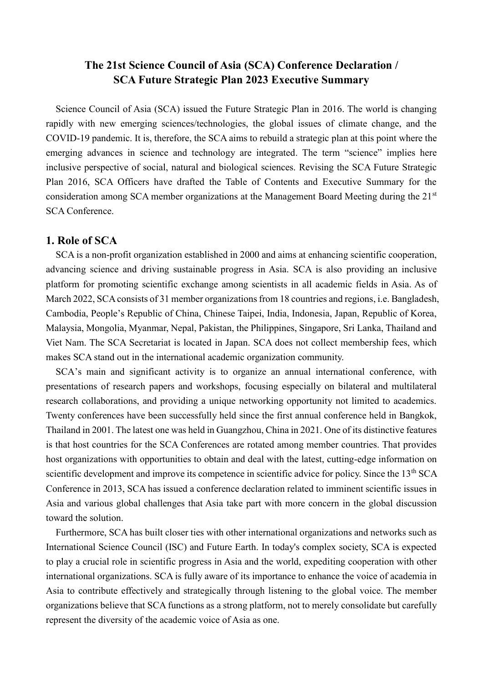# **The 21st Science Council of Asia (SCA) Conference Declaration / SCA Future Strategic Plan 2023 Executive Summary**

Science Council of Asia (SCA) issued the Future Strategic Plan in 2016. The world is changing rapidly with new emerging sciences/technologies, the global issues of climate change, and the COVID-19 pandemic. It is, therefore, the SCA aims to rebuild a strategic plan at this point where the emerging advances in science and technology are integrated. The term "science" implies here inclusive perspective of social, natural and biological sciences. Revising the SCA Future Strategic Plan 2016, SCA Officers have drafted the Table of Contents and Executive Summary for the consideration among SCA member organizations at the Management Board Meeting during the 21<sup>st</sup> SCA Conference.

## **1. Role of SCA**

SCA is a non-profit organization established in 2000 and aims at enhancing scientific cooperation, advancing science and driving sustainable progress in Asia. SCA is also providing an inclusive platform for promoting scientific exchange among scientists in all academic fields in Asia. As of March 2022, SCA consists of 31 member organizations from 18 countries and regions, i.e. Bangladesh, Cambodia, People's Republic of China, Chinese Taipei, India, Indonesia, Japan, Republic of Korea, Malaysia, Mongolia, Myanmar, Nepal, Pakistan, the Philippines, Singapore, Sri Lanka, Thailand and Viet Nam. The SCA Secretariat is located in Japan. SCA does not collect membership fees, which makes SCA stand out in the international academic organization community.

SCA's main and significant activity is to organize an annual international conference, with presentations of research papers and workshops, focusing especially on bilateral and multilateral research collaborations, and providing a unique networking opportunity not limited to academics. Twenty conferences have been successfully held since the first annual conference held in Bangkok, Thailand in 2001. The latest one was held in Guangzhou, China in 2021. One of its distinctive features is that host countries for the SCA Conferences are rotated among member countries. That provides host organizations with opportunities to obtain and deal with the latest, cutting-edge information on scientific development and improve its competence in scientific advice for policy. Since the 13<sup>th</sup> SCA Conference in 2013, SCA has issued a conference declaration related to imminent scientific issues in Asia and various global challenges that Asia take part with more concern in the global discussion toward the solution.

Furthermore, SCA has built closer ties with other international organizations and networks such as International Science Council (ISC) and Future Earth. In today's complex society, SCA is expected to play a crucial role in scientific progress in Asia and the world, expediting cooperation with other international organizations. SCA is fully aware of its importance to enhance the voice of academia in Asia to contribute effectively and strategically through listening to the global voice. The member organizations believe that SCA functions as a strong platform, not to merely consolidate but carefully represent the diversity of the academic voice of Asia as one.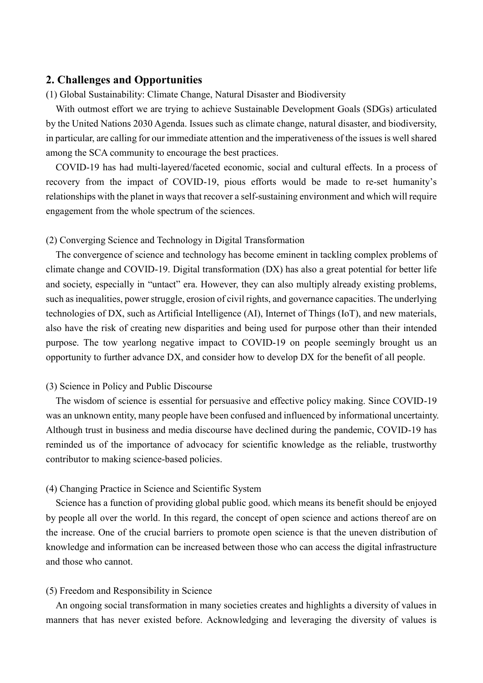## **2. Challenges and Opportunities**

(1) Global Sustainability: Climate Change, Natural Disaster and Biodiversity

With outmost effort we are trying to achieve Sustainable Development Goals (SDGs) articulated by the United Nations 2030 Agenda. Issues such as climate change, natural disaster, and biodiversity, in particular, are calling for our immediate attention and the imperativeness of the issues is well shared among the SCA community to encourage the best practices.

COVID-19 has had multi-layered/faceted economic, social and cultural effects. In a process of recovery from the impact of COVID-19, pious efforts would be made to re-set humanity's relationships with the planet in ways that recover a self-sustaining environment and which will require engagement from the whole spectrum of the sciences.

(2) Converging Science and Technology in Digital Transformation

The convergence of science and technology has become eminent in tackling complex problems of climate change and COVID-19. Digital transformation (DX) has also a great potential for better life and society, especially in "untact" era. However, they can also multiply already existing problems, such as inequalities, power struggle, erosion of civil rights, and governance capacities. The underlying technologies of DX, such as Artificial Intelligence (AI), Internet of Things (IoT), and new materials, also have the risk of creating new disparities and being used for purpose other than their intended purpose. The tow yearlong negative impact to COVID-19 on people seemingly brought us an opportunity to further advance DX, and consider how to develop DX for the benefit of all people.

## (3) Science in Policy and Public Discourse

The wisdom of science is essential for persuasive and effective policy making. Since COVID-19 was an unknown entity, many people have been confused and influenced by informational uncertainty. Although trust in business and media discourse have declined during the pandemic, COVID-19 has reminded us of the importance of advocacy for scientific knowledge as the reliable, trustworthy contributor to making science-based policies.

## (4) Changing Practice in Science and Scientific System

Science has a function of providing global public good, which means its benefit should be enjoyed by people all over the world. In this regard, the concept of open science and actions thereof are on the increase. One of the crucial barriers to promote open science is that the uneven distribution of knowledge and information can be increased between those who can access the digital infrastructure and those who cannot.

## (5) Freedom and Responsibility in Science

An ongoing social transformation in many societies creates and highlights a diversity of values in manners that has never existed before. Acknowledging and leveraging the diversity of values is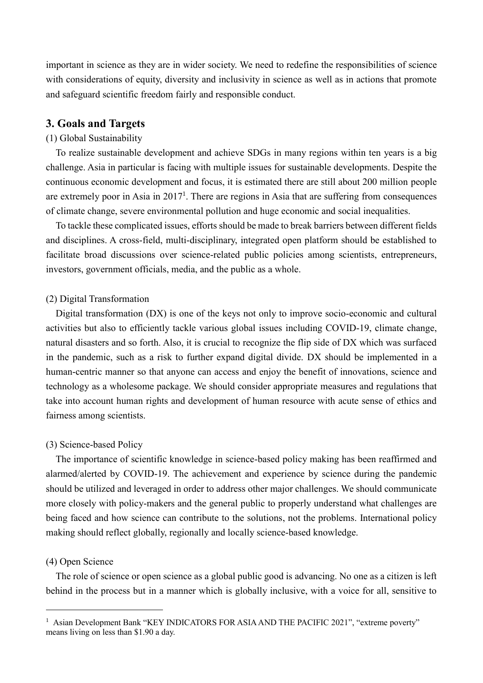important in science as they are in wider society. We need to redefine the responsibilities of science with considerations of equity, diversity and inclusivity in science as well as in actions that promote and safeguard scientific freedom fairly and responsible conduct.

## **3. Goals and Targets**

### (1) Global Sustainability

To realize sustainable development and achieve SDGs in many regions within ten years is a big challenge. Asia in particular is facing with multiple issues for sustainable developments. Despite the continuous economic development and focus, it is estimated there are still about 200 million people are extremely poor in Asia in  $2017<sup>1</sup>$ . There are regions in Asia that are suffering from consequences of climate change, severe environmental pollution and huge economic and social inequalities.

To tackle these complicated issues, efforts should be made to break barriers between different fields and disciplines. A cross-field, multi-disciplinary, integrated open platform should be established to facilitate broad discussions over science-related public policies among scientists, entrepreneurs, investors, government officials, media, and the public as a whole.

## (2) Digital Transformation

Digital transformation (DX) is one of the keys not only to improve socio-economic and cultural activities but also to efficiently tackle various global issues including COVID-19, climate change, natural disasters and so forth. Also, it is crucial to recognize the flip side of DX which was surfaced in the pandemic, such as a risk to further expand digital divide. DX should be implemented in a human-centric manner so that anyone can access and enjoy the benefit of innovations, science and technology as a wholesome package. We should consider appropriate measures and regulations that take into account human rights and development of human resource with acute sense of ethics and fairness among scientists.

#### (3) Science-based Policy

The importance of scientific knowledge in science-based policy making has been reaffirmed and alarmed/alerted by COVID-19. The achievement and experience by science during the pandemic should be utilized and leveraged in order to address other major challenges. We should communicate more closely with policy-makers and the general public to properly understand what challenges are being faced and how science can contribute to the solutions, not the problems. International policy making should reflect globally, regionally and locally science-based knowledge.

#### (4) Open Science

-

The role of science or open science as a global public good is advancing. No one as a citizen is left behind in the process but in a manner which is globally inclusive, with a voice for all, sensitive to

<sup>&</sup>lt;sup>1</sup> Asian Development Bank "KEY INDICATORS FOR ASIA AND THE PACIFIC 2021", "extreme poverty" means living on less than \$1.90 a day.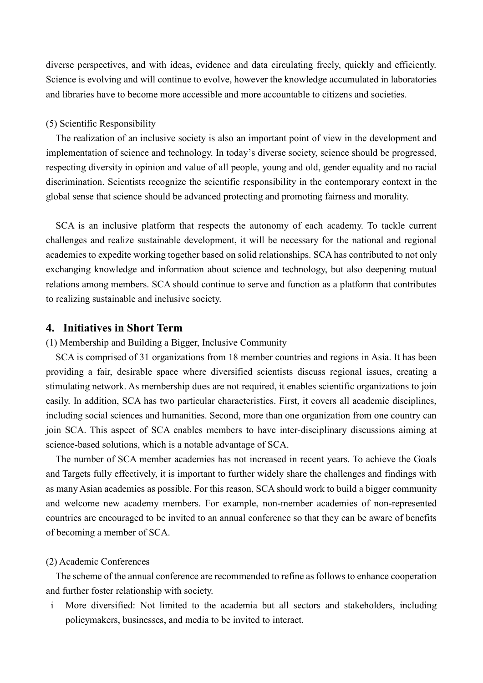diverse perspectives, and with ideas, evidence and data circulating freely, quickly and efficiently. Science is evolving and will continue to evolve, however the knowledge accumulated in laboratories and libraries have to become more accessible and more accountable to citizens and societies.

## (5) Scientific Responsibility

The realization of an inclusive society is also an important point of view in the development and implementation of science and technology. In today's diverse society, science should be progressed, respecting diversity in opinion and value of all people, young and old, gender equality and no racial discrimination. Scientists recognize the scientific responsibility in the contemporary context in the global sense that science should be advanced protecting and promoting fairness and morality.

SCA is an inclusive platform that respects the autonomy of each academy. To tackle current challenges and realize sustainable development, it will be necessary for the national and regional academies to expedite working together based on solid relationships. SCA has contributed to not only exchanging knowledge and information about science and technology, but also deepening mutual relations among members. SCA should continue to serve and function as a platform that contributes to realizing sustainable and inclusive society.

## **4. Initiatives in Short Term**

(1) Membership and Building a Bigger, Inclusive Community

SCA is comprised of 31 organizations from 18 member countries and regions in Asia. It has been providing a fair, desirable space where diversified scientists discuss regional issues, creating a stimulating network. As membership dues are not required, it enables scientific organizations to join easily. In addition, SCA has two particular characteristics. First, it covers all academic disciplines, including social sciences and humanities. Second, more than one organization from one country can join SCA. This aspect of SCA enables members to have inter-disciplinary discussions aiming at science-based solutions, which is a notable advantage of SCA.

The number of SCA member academies has not increased in recent years. To achieve the Goals and Targets fully effectively, it is important to further widely share the challenges and findings with as many Asian academies as possible. For this reason, SCA should work to build a bigger community and welcome new academy members. For example, non-member academies of non-represented countries are encouraged to be invited to an annual conference so that they can be aware of benefits of becoming a member of SCA.

#### (2) Academic Conferences

 The scheme of the annual conference are recommended to refine as follows to enhance cooperation and further foster relationship with society.

i More diversified: Not limited to the academia but all sectors and stakeholders, including policymakers, businesses, and media to be invited to interact.